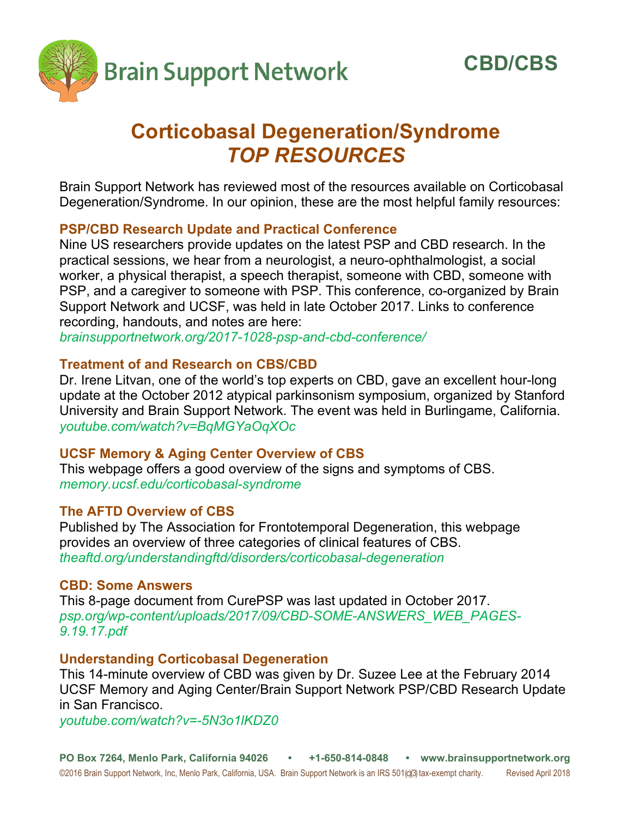

# **Corticobasal Degeneration/Syndrome**  *TOP RESOURCES*

Brain Support Network has reviewed most of the resources available on Corticobasal Degeneration/Syndrome. In our opinion, these are the most helpful family resources:

## **PSP/CBD Research Update and Practical Conference**

Nine US researchers provide updates on the latest PSP and CBD research. In the practical sessions, we hear from a neurologist, a neuro-ophthalmologist, a social worker, a physical therapist, a speech therapist, someone with CBD, someone with PSP, and a caregiver to someone with PSP. This conference, co-organized by Brain Support Network and UCSF, was held in late October 2017. Links to conference recording, handouts, and notes are here:

*brainsupportnetwork.org/2017-1028-psp-and-cbd-conference/* 

## **Treatment of and Research on CBS/CBD**

Dr. Irene Litvan, one of the world's top experts on CBD, gave an excellent hour-long update at the October 2012 atypical parkinsonism symposium, organized by Stanford University and Brain Support Network. The event was held in Burlingame, California. *youtube.com/watch?v=BqMGYaOqXOc* 

## **UCSF Memory & Aging Center Overview of CBS**

This webpage offers a good overview of the signs and symptoms of CBS. *memory.ucsf.edu/corticobasal-syndrome* 

## **The AFTD Overview of CBS**

Published by The Association for Frontotemporal Degeneration, this webpage provides an overview of three categories of clinical features of CBS. *theaftd.org/understandingftd/disorders/corticobasal-degeneration* 

## **CBD: Some Answers**

This 8-page document from CurePSP was last updated in October 2017. *psp.org/wp-content/uploads/2017/09/CBD-SOME-ANSWERS\_WEB\_PAGES-9.19.17.pdf*

## **Understanding Corticobasal Degeneration**

This 14-minute overview of CBD was given by Dr. Suzee Lee at the February 2014 UCSF Memory and Aging Center/Brain Support Network PSP/CBD Research Update in San Francisco.

*youtube.com/watch?v=-5N3o1lKDZ0*